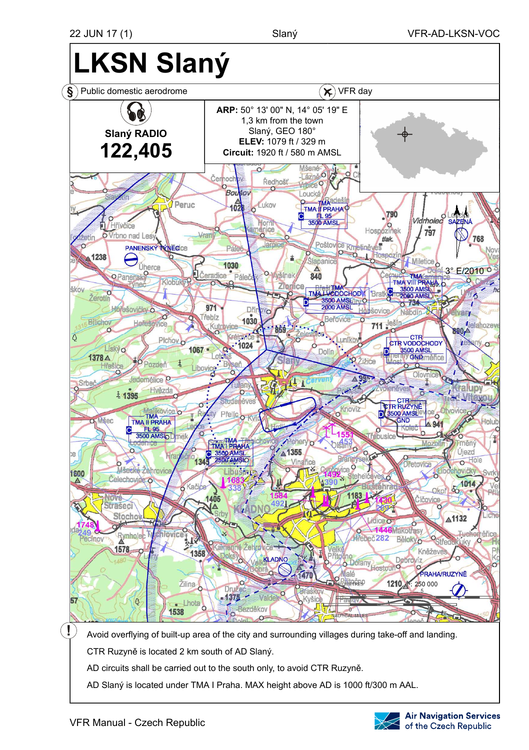